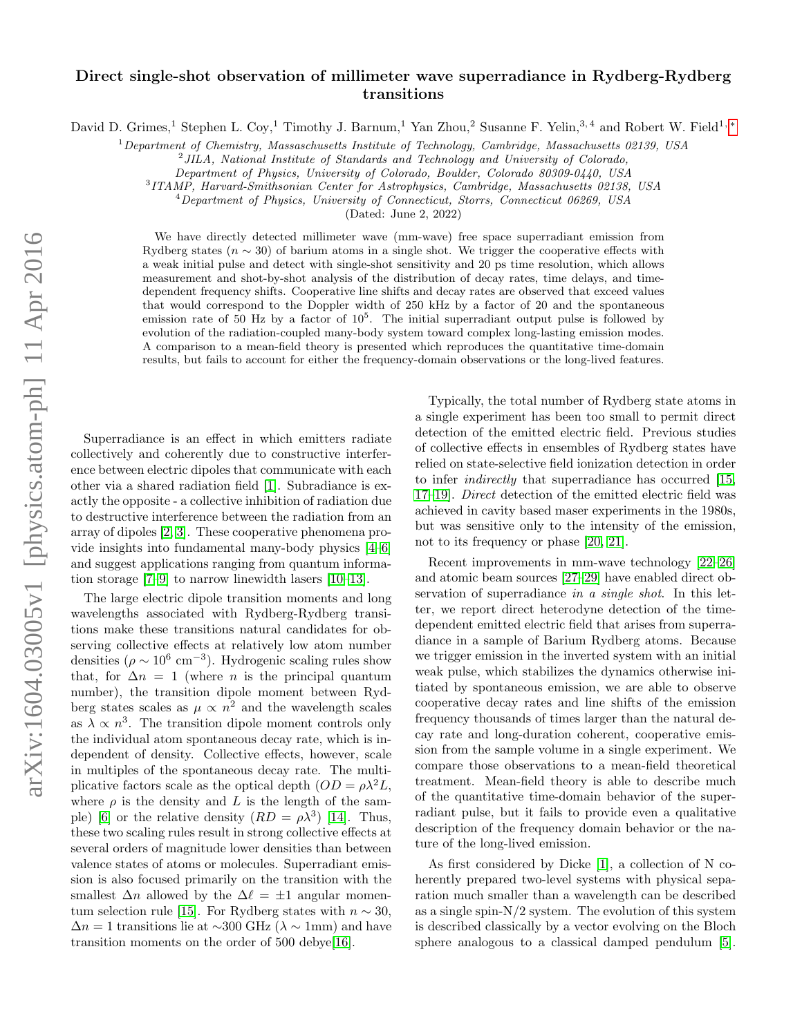## Direct single-shot observation of millimeter wave superradiance in Rydberg-Rydberg transitions

David D. Grimes,<sup>1</sup> Stephen L. Coy,<sup>1</sup> Timothy J. Barnum,<sup>1</sup> Yan Zhou,<sup>2</sup> Susanne F. Yelin,<sup>3,4</sup> and Robert W. Field<sup>1,\*</sup>

 $1$ Department of Chemistry, Massaschusetts Institute of Technology, Cambridge, Massachusetts 02139, USA

 $^{2}$  JILA, National Institute of Standards and Technology and University of Colorado,

Department of Physics, University of Colorado, Boulder, Colorado 80309-0440, USA

3 ITAMP, Harvard-Smithsonian Center for Astrophysics, Cambridge, Massachusetts 02138, USA

 $4$ Department of Physics, University of Connecticut, Storrs, Connecticut 06269, USA

(Dated: June 2, 2022)

We have directly detected millimeter wave (mm-wave) free space superradiant emission from Rydberg states ( $n \sim 30$ ) of barium atoms in a single shot. We trigger the cooperative effects with a weak initial pulse and detect with single-shot sensitivity and 20 ps time resolution, which allows measurement and shot-by-shot analysis of the distribution of decay rates, time delays, and timedependent frequency shifts. Cooperative line shifts and decay rates are observed that exceed values that would correspond to the Doppler width of 250 kHz by a factor of 20 and the spontaneous emission rate of 50 Hz by a factor of  $10<sup>5</sup>$ . The initial superradiant output pulse is followed by evolution of the radiation-coupled many-body system toward complex long-lasting emission modes. A comparison to a mean-field theory is presented which reproduces the quantitative time-domain results, but fails to account for either the frequency-domain observations or the long-lived features.

Superradiance is an effect in which emitters radiate collectively and coherently due to constructive interference between electric dipoles that communicate with each other via a shared radiation field [\[1\]](#page-4-1). Subradiance is exactly the opposite - a collective inhibition of radiation due to destructive interference between the radiation from an array of dipoles [\[2,](#page-4-2) [3\]](#page-4-3). These cooperative phenomena provide insights into fundamental many-body physics [\[4](#page-4-4)[–6\]](#page-4-5) and suggest applications ranging from quantum information storage [\[7–](#page-4-6)[9\]](#page-4-7) to narrow linewidth lasers [\[10–](#page-4-8)[13\]](#page-4-9).

The large electric dipole transition moments and long wavelengths associated with Rydberg-Rydberg transitions make these transitions natural candidates for observing collective effects at relatively low atom number densities ( $\rho \sim 10^6 \text{ cm}^{-3}$ ). Hydrogenic scaling rules show that, for  $\Delta n = 1$  (where *n* is the principal quantum number), the transition dipole moment between Rydberg states scales as  $\mu \propto n^2$  and the wavelength scales as  $\lambda \propto n^3$ . The transition dipole moment controls only the individual atom spontaneous decay rate, which is independent of density. Collective effects, however, scale in multiples of the spontaneous decay rate. The multiplicative factors scale as the optical depth  $(OD = \rho \lambda^2 L$ , where  $\rho$  is the density and L is the length of the sam-ple) [\[6\]](#page-4-5) or the relative density  $(RD = \rho \lambda^3)$  [\[14\]](#page-4-10). Thus, these two scaling rules result in strong collective effects at several orders of magnitude lower densities than between valence states of atoms or molecules. Superradiant emission is also focused primarily on the transition with the smallest  $\Delta n$  allowed by the  $\Delta \ell = \pm 1$  angular momen-tum selection rule [\[15\]](#page-4-11). For Rydberg states with  $n \sim 30$ ,  $\Delta n = 1$  transitions lie at ~300 GHz ( $\lambda \sim 1$ mm) and have transition moments on the order of 500 debye[\[16\]](#page-4-12).

Typically, the total number of Rydberg state atoms in a single experiment has been too small to permit direct detection of the emitted electric field. Previous studies of collective effects in ensembles of Rydberg states have relied on state-selective field ionization detection in order to infer indirectly that superradiance has occurred [\[15,](#page-4-11) [17–](#page-4-13)[19\]](#page-4-14). Direct detection of the emitted electric field was achieved in cavity based maser experiments in the 1980s, but was sensitive only to the intensity of the emission, not to its frequency or phase [\[20,](#page-4-15) [21\]](#page-4-16).

Recent improvements in mm-wave technology [\[22](#page-4-17)[–26\]](#page-4-18) and atomic beam sources [\[27](#page-4-19)[–29\]](#page-4-20) have enabled direct observation of superradiance in a single shot. In this letter, we report direct heterodyne detection of the timedependent emitted electric field that arises from superradiance in a sample of Barium Rydberg atoms. Because we trigger emission in the inverted system with an initial weak pulse, which stabilizes the dynamics otherwise initiated by spontaneous emission, we are able to observe cooperative decay rates and line shifts of the emission frequency thousands of times larger than the natural decay rate and long-duration coherent, cooperative emission from the sample volume in a single experiment. We compare those observations to a mean-field theoretical treatment. Mean-field theory is able to describe much of the quantitative time-domain behavior of the superradiant pulse, but it fails to provide even a qualitative description of the frequency domain behavior or the nature of the long-lived emission.

As first considered by Dicke [\[1\]](#page-4-1), a collection of N coherently prepared two-level systems with physical separation much smaller than a wavelength can be described as a single spin- $N/2$  system. The evolution of this system is described classically by a vector evolving on the Bloch sphere analogous to a classical damped pendulum [\[5\]](#page-4-21).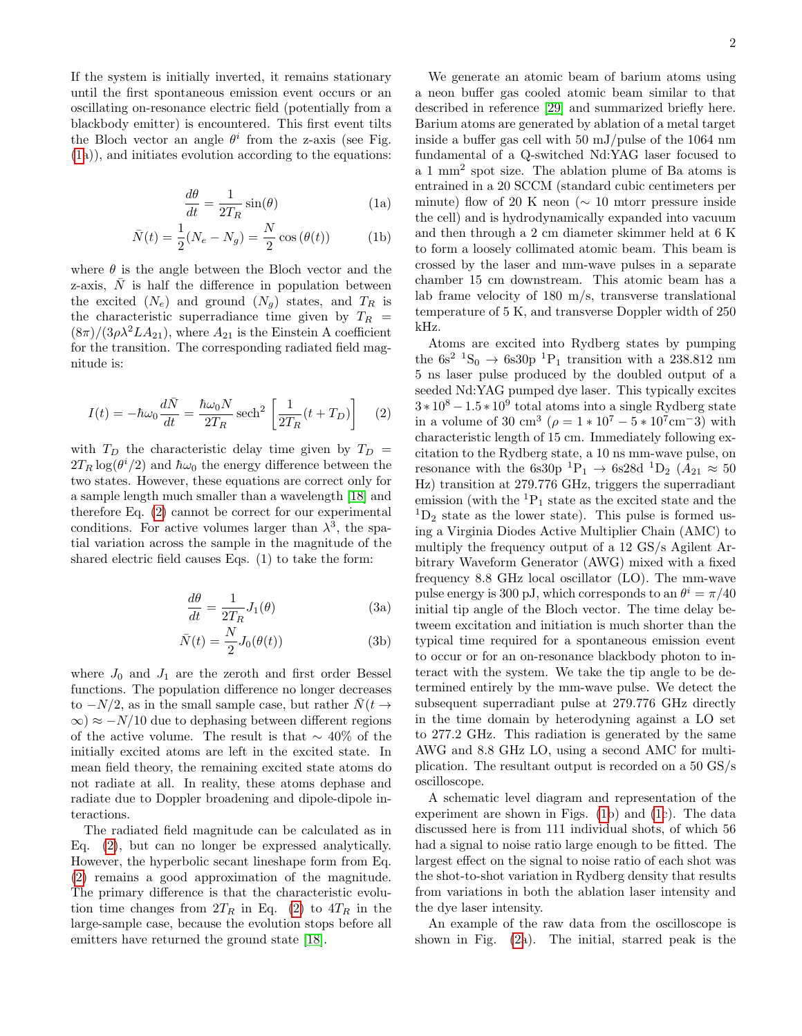If the system is initially inverted, it remains stationary until the first spontaneous emission event occurs or an oscillating on-resonance electric field (potentially from a blackbody emitter) is encountered. This first event tilts the Bloch vector an angle  $\theta^i$  from the z-axis (see Fig. [\(1a](#page-2-0))), and initiates evolution according to the equations:

$$
\frac{d\theta}{dt} = \frac{1}{2T_R} \sin(\theta) \tag{1a}
$$

$$
\bar{N}(t) = \frac{1}{2}(N_e - N_g) = \frac{N}{2}\cos(\theta(t))
$$
 (1b)

where  $\theta$  is the angle between the Bloch vector and the z-axis,  $\overline{N}$  is half the difference in population between the excited  $(N_e)$  and ground  $(N_g)$  states, and  $T_R$  is the characteristic superradiance time given by  $T_R =$  $(8\pi)/(3\rho\lambda^2LA_{21})$ , where  $A_{21}$  is the Einstein A coefficient for the transition. The corresponding radiated field magnitude is:

<span id="page-1-0"></span>
$$
I(t) = -\hbar\omega_0 \frac{d\bar{N}}{dt} = \frac{\hbar\omega_0 N}{2T_R} \operatorname{sech}^2 \left[ \frac{1}{2T_R} (t + T_D) \right] \tag{2}
$$

with  $T_D$  the characteristic delay time given by  $T_D$  =  $2T_R \log(\theta^i/2)$  and  $\hbar \omega_0$  the energy difference between the two states. However, these equations are correct only for a sample length much smaller than a wavelength [\[18\]](#page-4-22) and therefore Eq. [\(2\)](#page-1-0) cannot be correct for our experimental conditions. For active volumes larger than  $\lambda^3$ , the spatial variation across the sample in the magnitude of the shared electric field causes Eqs. (1) to take the form:

$$
\frac{d\theta}{dt} = \frac{1}{2T_R} J_1(\theta)
$$
 (3a)

$$
\bar{N}(t) = \frac{N}{2}J_0(\theta(t))
$$
\n(3b)

where  $J_0$  and  $J_1$  are the zeroth and first order Bessel functions. The population difference no longer decreases to  $-N/2$ , as in the small sample case, but rather  $\overline{N}(t \to$  $\infty$ ) ≈  $-N/10$  due to dephasing between different regions of the active volume. The result is that  $\sim 40\%$  of the initially excited atoms are left in the excited state. In mean field theory, the remaining excited state atoms do not radiate at all. In reality, these atoms dephase and radiate due to Doppler broadening and dipole-dipole interactions.

The radiated field magnitude can be calculated as in Eq. [\(2\)](#page-1-0), but can no longer be expressed analytically. However, the hyperbolic secant lineshape form from Eq. [\(2\)](#page-1-0) remains a good approximation of the magnitude. The primary difference is that the characteristic evolution time changes from  $2T_R$  in Eq. [\(2\)](#page-1-0) to  $4T_R$  in the large-sample case, because the evolution stops before all emitters have returned the ground state [\[18\]](#page-4-22).

We generate an atomic beam of barium atoms using a neon buffer gas cooled atomic beam similar to that described in reference [\[29\]](#page-4-20) and summarized briefly here. Barium atoms are generated by ablation of a metal target inside a buffer gas cell with 50 mJ/pulse of the 1064 nm fundamental of a Q-switched Nd:YAG laser focused to a 1 mm<sup>2</sup> spot size. The ablation plume of Ba atoms is entrained in a 20 SCCM (standard cubic centimeters per minute) flow of 20 K neon ( $\sim$  10 mtorr pressure inside the cell) and is hydrodynamically expanded into vacuum and then through a 2 cm diameter skimmer held at 6 K to form a loosely collimated atomic beam. This beam is crossed by the laser and mm-wave pulses in a separate chamber 15 cm downstream. This atomic beam has a lab frame velocity of 180 m/s, transverse translational temperature of 5 K, and transverse Doppler width of 250 kHz.

Atoms are excited into Rydberg states by pumping the  $6s^2$   ${}^1S_0 \rightarrow 6s30p$   ${}^1P_1$  transition with a 238.812 nm 5 ns laser pulse produced by the doubled output of a seeded Nd:YAG pumped dye laser. This typically excites  $3*10^8 - 1.5*10^9$  total atoms into a single Rydberg state in a volume of 30 cm<sup>3</sup> ( $\rho = 1 * 10^7 - 5 * 10^7$ cm<sup>-3</sup>) with characteristic length of 15 cm. Immediately following excitation to the Rydberg state, a 10 ns mm-wave pulse, on resonance with the 6s30p <sup>1</sup>P<sub>1</sub>  $\rightarrow$  6s28d <sup>1</sup>D<sub>2</sub> (A<sub>21</sub>  $\approx$  50 Hz) transition at 279.776 GHz, triggers the superradiant emission (with the  ${}^{1}P_1$  state as the excited state and the  ${}^{1}D_{2}$  state as the lower state). This pulse is formed using a Virginia Diodes Active Multiplier Chain (AMC) to multiply the frequency output of a 12 GS/s Agilent Arbitrary Waveform Generator (AWG) mixed with a fixed frequency 8.8 GHz local oscillator (LO). The mm-wave pulse energy is 300 pJ, which corresponds to an  $\theta^i = \pi/40$ initial tip angle of the Bloch vector. The time delay betweem excitation and initiation is much shorter than the typical time required for a spontaneous emission event to occur or for an on-resonance blackbody photon to interact with the system. We take the tip angle to be determined entirely by the mm-wave pulse. We detect the subsequent superradiant pulse at 279.776 GHz directly in the time domain by heterodyning against a LO set to 277.2 GHz. This radiation is generated by the same AWG and 8.8 GHz LO, using a second AMC for multiplication. The resultant output is recorded on a 50 GS/s oscilloscope.

A schematic level diagram and representation of the experiment are shown in Figs. [\(1b](#page-2-0)) and [\(1c](#page-2-0)). The data discussed here is from 111 individual shots, of which 56 had a signal to noise ratio large enough to be fitted. The largest effect on the signal to noise ratio of each shot was the shot-to-shot variation in Rydberg density that results from variations in both the ablation laser intensity and the dye laser intensity.

An example of the raw data from the oscilloscope is shown in Fig. [\(2a](#page-2-1)). The initial, starred peak is the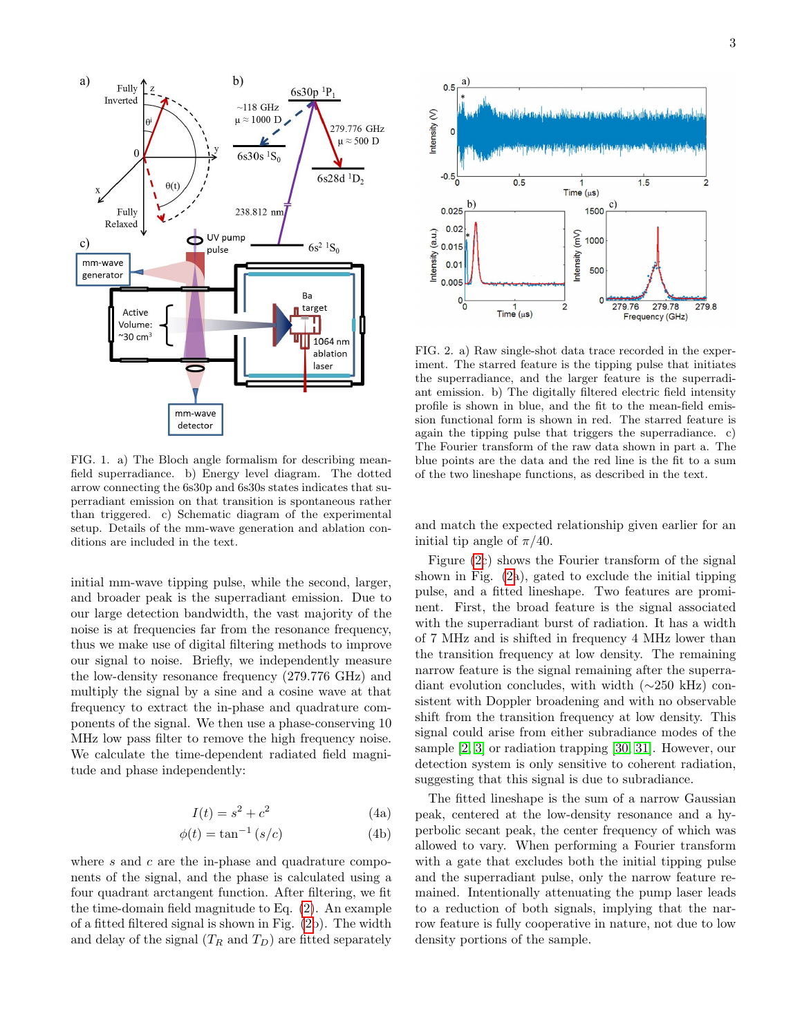

<span id="page-2-0"></span>FIG. 1. a) The Bloch angle formalism for describing meanfield superradiance. b) Energy level diagram. The dotted arrow connecting the 6s30p and 6s30s states indicates that superradiant emission on that transition is spontaneous rather than triggered. c) Schematic diagram of the experimental setup. Details of the mm-wave generation and ablation conditions are included in the text.

initial mm-wave tipping pulse, while the second, larger, and broader peak is the superradiant emission. Due to our large detection bandwidth, the vast majority of the noise is at frequencies far from the resonance frequency, thus we make use of digital filtering methods to improve our signal to noise. Briefly, we independently measure the low-density resonance frequency (279.776 GHz) and multiply the signal by a sine and a cosine wave at that frequency to extract the in-phase and quadrature components of the signal. We then use a phase-conserving 10 MHz low pass filter to remove the high frequency noise. We calculate the time-dependent radiated field magnitude and phase independently:

$$
I(t) = s^2 + c^2 \tag{4a}
$$

$$
\phi(t) = \tan^{-1} (s/c) \tag{4b}
$$

where  $s$  and  $c$  are the in-phase and quadrature components of the signal, and the phase is calculated using a four quadrant arctangent function. After filtering, we fit the time-domain field magnitude to Eq. [\(2\)](#page-1-0). An example of a fitted filtered signal is shown in Fig. [\(2b](#page-2-1)). The width and delay of the signal  $(T_R \text{ and } T_D)$  are fitted separately



<span id="page-2-1"></span>FIG. 2. a) Raw single-shot data trace recorded in the experiment. The starred feature is the tipping pulse that initiates the superradiance, and the larger feature is the superradiant emission. b) The digitally filtered electric field intensity profile is shown in blue, and the fit to the mean-field emission functional form is shown in red. The starred feature is again the tipping pulse that triggers the superradiance. c) The Fourier transform of the raw data shown in part a. The blue points are the data and the red line is the fit to a sum of the two lineshape functions, as described in the text.

and match the expected relationship given earlier for an initial tip angle of  $\pi/40$ .

Figure [\(2c](#page-2-1)) shows the Fourier transform of the signal shown in Fig. [\(2a](#page-2-1)), gated to exclude the initial tipping pulse, and a fitted lineshape. Two features are prominent. First, the broad feature is the signal associated with the superradiant burst of radiation. It has a width of 7 MHz and is shifted in frequency 4 MHz lower than the transition frequency at low density. The remaining narrow feature is the signal remaining after the superradiant evolution concludes, with width (∼250 kHz) consistent with Doppler broadening and with no observable shift from the transition frequency at low density. This signal could arise from either subradiance modes of the sample [\[2,](#page-4-2) [3\]](#page-4-3) or radiation trapping [\[30,](#page-4-23) [31\]](#page-4-24). However, our detection system is only sensitive to coherent radiation, suggesting that this signal is due to subradiance.

The fitted lineshape is the sum of a narrow Gaussian peak, centered at the low-density resonance and a hyperbolic secant peak, the center frequency of which was allowed to vary. When performing a Fourier transform with a gate that excludes both the initial tipping pulse and the superradiant pulse, only the narrow feature remained. Intentionally attenuating the pump laser leads to a reduction of both signals, implying that the narrow feature is fully cooperative in nature, not due to low density portions of the sample.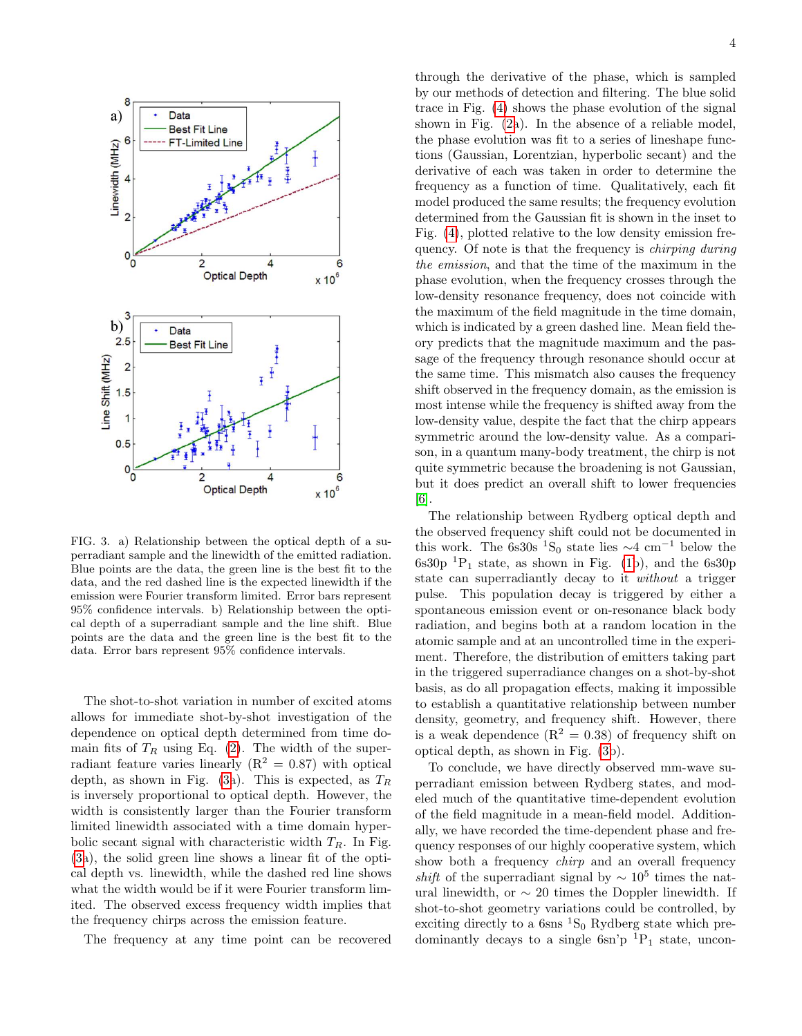

<span id="page-3-0"></span>FIG. 3. a) Relationship between the optical depth of a superradiant sample and the linewidth of the emitted radiation. Blue points are the data, the green line is the best fit to the data, and the red dashed line is the expected linewidth if the emission were Fourier transform limited. Error bars represent 95% confidence intervals. b) Relationship between the optical depth of a superradiant sample and the line shift. Blue points are the data and the green line is the best fit to the data. Error bars represent 95% confidence intervals.

The shot-to-shot variation in number of excited atoms allows for immediate shot-by-shot investigation of the dependence on optical depth determined from time domain fits of  $T_R$  using Eq. [\(2\)](#page-1-0). The width of the superradiant feature varies linearly  $(R^2 = 0.87)$  with optical depth, as shown in Fig. [\(3a](#page-3-0)). This is expected, as  $T_R$ is inversely proportional to optical depth. However, the width is consistently larger than the Fourier transform limited linewidth associated with a time domain hyperbolic secant signal with characteristic width  $T_R$ . In Fig. [\(3a](#page-3-0)), the solid green line shows a linear fit of the optical depth vs. linewidth, while the dashed red line shows what the width would be if it were Fourier transform limited. The observed excess frequency width implies that the frequency chirps across the emission feature.

The frequency at any time point can be recovered

through the derivative of the phase, which is sampled by our methods of detection and filtering. The blue solid trace in Fig. [\(4\)](#page-4-25) shows the phase evolution of the signal shown in Fig. [\(2a](#page-2-1)). In the absence of a reliable model, the phase evolution was fit to a series of lineshape functions (Gaussian, Lorentzian, hyperbolic secant) and the derivative of each was taken in order to determine the frequency as a function of time. Qualitatively, each fit model produced the same results; the frequency evolution determined from the Gaussian fit is shown in the inset to Fig. [\(4\)](#page-4-25), plotted relative to the low density emission frequency. Of note is that the frequency is chirping during the emission, and that the time of the maximum in the phase evolution, when the frequency crosses through the low-density resonance frequency, does not coincide with the maximum of the field magnitude in the time domain, which is indicated by a green dashed line. Mean field theory predicts that the magnitude maximum and the passage of the frequency through resonance should occur at the same time. This mismatch also causes the frequency shift observed in the frequency domain, as the emission is most intense while the frequency is shifted away from the low-density value, despite the fact that the chirp appears symmetric around the low-density value. As a comparison, in a quantum many-body treatment, the chirp is not quite symmetric because the broadening is not Gaussian, but it does predict an overall shift to lower frequencies [\[6\]](#page-4-5).

The relationship between Rydberg optical depth and the observed frequency shift could not be documented in this work. The 6s30s <sup>1</sup>S<sub>0</sub> state lies  $\sim$ 4 cm<sup>-1</sup> below the  $6s30p$  <sup>1</sup>P<sub>1</sub> state, as shown in Fig. [\(1b](#page-2-0)), and the 6s30p state can superradiantly decay to it without a trigger pulse. This population decay is triggered by either a spontaneous emission event or on-resonance black body radiation, and begins both at a random location in the atomic sample and at an uncontrolled time in the experiment. Therefore, the distribution of emitters taking part in the triggered superradiance changes on a shot-by-shot basis, as do all propagation effects, making it impossible to establish a quantitative relationship between number density, geometry, and frequency shift. However, there is a weak dependence  $(R^2 = 0.38)$  of frequency shift on optical depth, as shown in Fig. [\(3b](#page-3-0)).

To conclude, we have directly observed mm-wave superradiant emission between Rydberg states, and modeled much of the quantitative time-dependent evolution of the field magnitude in a mean-field model. Additionally, we have recorded the time-dependent phase and frequency responses of our highly cooperative system, which show both a frequency chirp and an overall frequency *shift* of the superradiant signal by  $\sim 10^5$  times the natural linewidth, or  $\sim$  20 times the Doppler linewidth. If shot-to-shot geometry variations could be controlled, by exciting directly to a  $6\text{sns}$   ${}^{1}\text{S}_0$  Rydberg state which predominantly decays to a single  $6\text{sn}'p^{-1}P_1$  state, uncon-